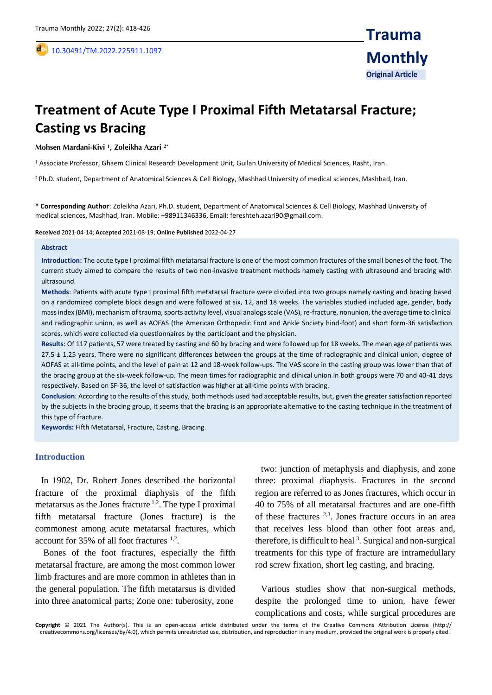,

# **Treatment of Acute Type I Proximal Fifth Metatarsal Fracture; Casting vs Bracing**

#### **Mohsen Mardani-Kivi <sup>1</sup> , Zoleikha Azari 2\***

<sup>1</sup>Associate Professor, Ghaem Clinical Research Development Unit, Guilan University of Medical Sciences, Rasht, Iran.

<sup>2</sup>Ph.D. student, Department of Anatomical Sciences & Cell Biology, Mashhad University of medical sciences, Mashhad, Iran.

**\* Corresponding Author**: Zoleikha Azari, Ph.D. student, Department of Anatomical Sciences & Cell Biology, Mashhad University of medical sciences, Mashhad, Iran. Mobile: +98911346336, Email: fereshteh.azari90@gmail.com.

**Received** 2021-04-14; **Accepted** 2021-08-19; **Online Published** 2022-04-27

#### **Abstract**

**Introduction:** The acute type I proximal fifth metatarsal fracture is one of the most common fractures of the small bones of the foot. The current study aimed to compare the results of two non-invasive treatment methods namely casting with ultrasound and bracing with ultrasound.

**Methods**: Patients with acute type I proximal fifth metatarsal fracture were divided into two groups namely casting and bracing based on a randomized complete block design and were followed at six, 12, and 18 weeks. The variables studied included age, gender, body mass index (BMI), mechanism of trauma, sports activity level, visual analogs scale (VAS), re-fracture, nonunion, the average time to clinical and radiographic union, as well as AOFAS (the American Orthopedic Foot and Ankle Society hind-foot) and short form-36 satisfaction scores, which were collected via questionnaires by the participant and the physician.

**Results**: Of 117 patients, 57 were treated by casting and 60 by bracing and were followed up for 18 weeks. The mean age of patients was 27.5 ± 1.25 years. There were no significant differences between the groups at the time of radiographic and clinical union, degree of AOFAS at all-time points, and the level of pain at 12 and 18-week follow-ups. The VAS score in the casting group was lower than that of the bracing group at the six-week follow-up. The mean times for radiographic and clinical union in both groups were 70 and 40-41 days respectively. Based on SF-36, the level of satisfaction was higher at all-time points with bracing.

**Conclusion**: According to the results of this study, both methods used had acceptable results, but, given the greater satisfaction reported by the subjects in the bracing group, it seems that the bracing is an appropriate alternative to the casting technique in the treatment of this type of fracture.

**Keywords:** Fifth Metatarsal, Fracture, Casting, Bracing.

#### **Introduction**

In 1902, Dr. Robert Jones described the horizontal fracture of the proximal diaphysis of the fifth metatarsus as the Jones fracture  $1,2$ . The type I proximal fifth metatarsal fracture (Jones fracture) is the commonest among acute metatarsal fractures, which account for 35% of all foot fractures <sup>1,2</sup>.

Bones of the foot fractures, especially the fifth metatarsal fracture, are among the most common lower limb fractures and are more common in athletes than in the general population. The fifth metatarsus is divided into three anatomical parts; Zone one: tuberosity, zone

two: junction of metaphysis and diaphysis, and zone three: proximal diaphysis. Fractures in the second region are referred to as Jones fractures, which occur in 40 to 75% of all metatarsal fractures and are one-fifth of these fractures 2,3 . Jones fracture occurs in an area that receives less blood than other foot areas and, therefore, is difficult to heal<sup>3</sup>. Surgical and non-surgical treatments for this type of fracture are intramedullary rod screw fixation, short leg casting, and bracing.

Various studies show that non-surgical methods, despite the prolonged time to union, have fewer complications and costs, while surgical procedures are

**Copyright** © 2021 The Author(s). This is an open-access article distributed under the terms of the Creative Commons Attribution License (http:// creativecommons.org/licenses/by/4.0), which permits unrestricted use, distribution, and reproduction in any medium, provided the original work is properly cited.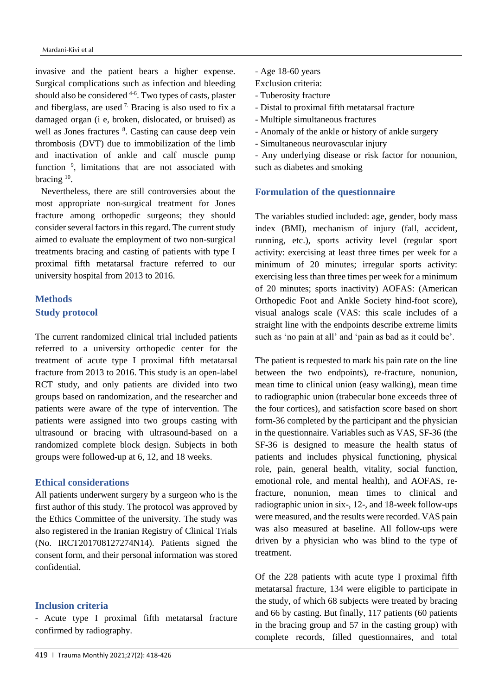invasive and the patient bears a higher expense. Surgical complications such as infection and bleeding should also be considered <sup>4-6</sup>. Two types of casts, plaster and fiberglass, are used  $<sup>7</sup>$ . Bracing is also used to fix a</sup> damaged organ (i e, broken, dislocated, or bruised) as well as Jones fractures <sup>8</sup>. Casting can cause deep vein thrombosis (DVT) due to immobilization of the limb and inactivation of ankle and calf muscle pump function<sup>9</sup>, limitations that are not associated with bracing <sup>10</sup>.

Nevertheless, there are still controversies about the most appropriate non-surgical treatment for Jones fracture among orthopedic surgeons; they should consider several factors in this regard. The current study aimed to evaluate the employment of two non-surgical treatments bracing and casting of patients with type I proximal fifth metatarsal fracture referred to our university hospital from 2013 to 2016.

# **Methods Study protocol**

The current randomized clinical trial included patients referred to a university orthopedic center for the treatment of acute type I proximal fifth metatarsal fracture from 2013 to 2016. This study is an open-label RCT study, and only patients are divided into two groups based on randomization, and the researcher and patients were aware of the type of intervention. The patients were assigned into two groups casting with ultrasound or bracing with ultrasound-based on a randomized complete block design. Subjects in both groups were followed-up at 6, 12, and 18 weeks.

## **Ethical considerations**

All patients underwent surgery by a surgeon who is the first author of this study. The protocol was approved by the Ethics Committee of the university. The study was also registered in the Iranian Registry of Clinical Trials (No. IRCT201708127274N14). Patients signed the consent form, and their personal information was stored confidential.

#### **Inclusion criteria**

- Acute type I proximal fifth metatarsal fracture confirmed by radiography.

- Age 18-60 years
- Exclusion criteria:
- Tuberosity fracture
- Distal to proximal fifth metatarsal fracture
- Multiple simultaneous fractures
- Anomaly of the ankle or history of ankle surgery
- Simultaneous neurovascular injury

- Any underlying disease or risk factor for nonunion, such as diabetes and smoking

#### **Formulation of the questionnaire**

The variables studied included: age, gender, body mass index (BMI), mechanism of injury (fall, accident, running, etc.), sports activity level (regular sport activity: exercising at least three times per week for a minimum of 20 minutes; irregular sports activity: exercising less than three times per week for a minimum of 20 minutes; sports inactivity) AOFAS: (American Orthopedic Foot and Ankle Society hind-foot score), visual analogs scale (VAS: this scale includes of a straight line with the endpoints describe extreme limits such as 'no pain at all' and 'pain as bad as it could be'.

The patient is requested to mark his pain rate on the line between the two endpoints), re-fracture, nonunion, mean time to clinical union (easy walking), mean time to radiographic union (trabecular bone exceeds three of the four cortices), and satisfaction score based on short form-36 completed by the participant and the physician in the questionnaire. Variables such as VAS, SF-36 (the SF-36 is designed to measure the health status of patients and includes physical functioning, physical role, pain, general health, vitality, social function, emotional role, and mental health), and AOFAS, refracture, nonunion, mean times to clinical and radiographic union in six-, 12-, and 18-week follow-ups were measured, and the results were recorded. VAS pain was also measured at baseline. All follow-ups were driven by a physician who was blind to the type of treatment.

Of the 228 patients with acute type I proximal fifth metatarsal fracture, 134 were eligible to participate in the study, of which 68 subjects were treated by bracing and 66 by casting. But finally, 117 patients (60 patients in the bracing group and 57 in the casting group) with complete records, filled questionnaires, and total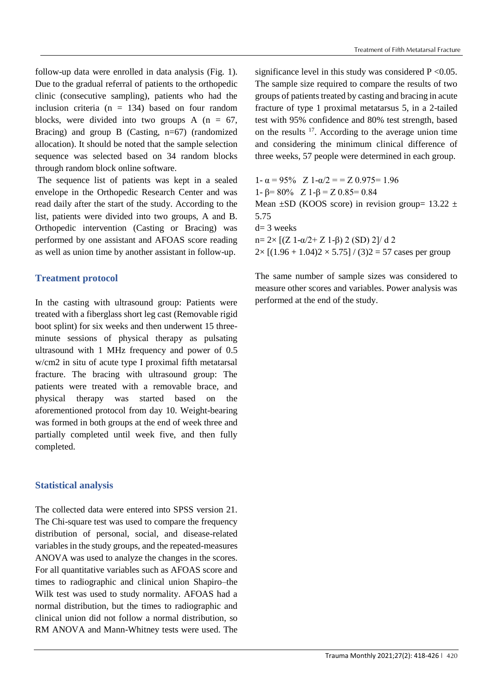follow-up data were enrolled in data analysis (Fig. 1). Due to the gradual referral of patients to the orthopedic clinic (consecutive sampling), patients who had the inclusion criteria ( $n = 134$ ) based on four random blocks, were divided into two groups A  $(n = 67,$ Bracing) and group B (Casting,  $n=67$ ) (randomized allocation). It should be noted that the sample selection sequence was selected based on 34 random blocks through random block online software.

The sequence list of patients was kept in a sealed envelope in the Orthopedic Research Center and was read daily after the start of the study. According to the list, patients were divided into two groups, A and B. Orthopedic intervention (Casting or Bracing) was performed by one assistant and AFOAS score reading as well as union time by another assistant in follow-up.

## **Treatment protocol**

In the casting with ultrasound group: Patients were treated with a fiberglass short leg cast (Removable rigid boot splint) for six weeks and then underwent 15 threeminute sessions of physical therapy as pulsating ultrasound with 1 MHz frequency and power of 0.5 w/cm2 in situ of acute type I proximal fifth metatarsal fracture. The bracing with ultrasound group: The patients were treated with a removable brace, and physical therapy was started based on the aforementioned protocol from day 10. Weight-bearing was formed in both groups at the end of week three and partially completed until week five, and then fully completed.

#### **Statistical analysis**

The collected data were entered into SPSS version 21. The Chi-square test was used to compare the frequency distribution of personal, social, and disease-related variables in the study groups, and the repeated-measures ANOVA was used to analyze the changes in the scores. For all quantitative variables such as AFOAS score and times to radiographic and clinical union Shapiro–the Wilk test was used to study normality. AFOAS had a normal distribution, but the times to radiographic and clinical union did not follow a normal distribution, so RM ANOVA and Mann-Whitney tests were used. The

significance level in this study was considered  $P \le 0.05$ . The sample size required to compare the results of two groups of patients treated by casting and bracing in acute fracture of type 1 proximal metatarsus 5, in a 2-tailed test with 95% confidence and 80% test strength, based on the results  $17$ . According to the average union time and considering the minimum clinical difference of three weeks, 57 people were determined in each group.

1-  $\alpha$  = 95% Z 1- $\alpha/2$  = = Z 0.975= 1.96 1-  $\beta$ = 80% Z 1- $\beta$  = Z 0.85 = 0.84 Mean  $\pm$ SD (KOOS score) in revision group= 13.22  $\pm$ 5.75  $d= 3$  weeks  $n= 2\times$  [(Z 1-α/2+ Z 1-β) 2 (SD) 2]/ d 2  $2 \times [(1.96 + 1.04)2 \times 5.75] / (3)2 = 57$  cases per group

The same number of sample sizes was considered to measure other scores and variables. Power analysis was performed at the end of the study.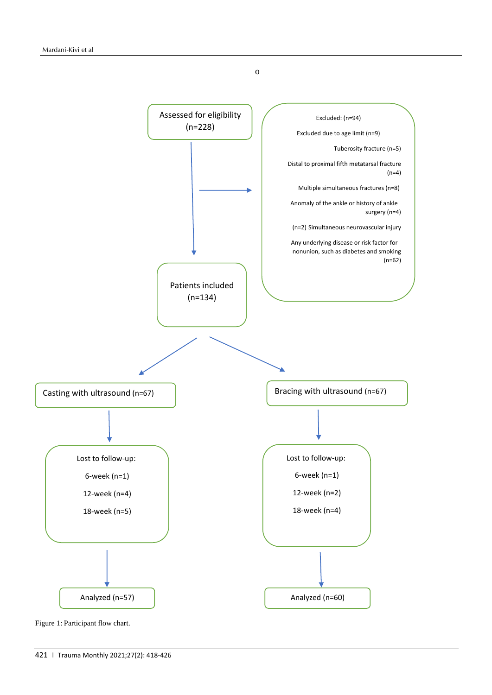o



Figure 1: Participant flow chart.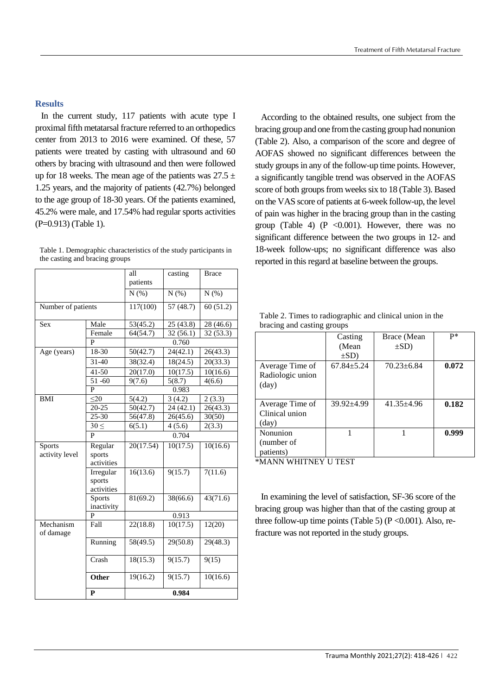In the current study, 117 patients with acute type I proximal fifth metatarsal fracture referred to an orthopedics center from 2013 to 2016 were examined. Of these, 57 patients were treated by casting with ultrasound and 60 others by bracing with ultrasound and then were followed up for 18 weeks. The mean age of the patients was  $27.5 \pm$ 1.25 years, and the majority of patients (42.7%) belonged to the age group of 18-30 years. Of the patients examined, 45.2% were male, and 17.54% had regular sports activities (P=0.913) (Table 1).

Table 1. Demographic characteristics of the study participants in the casting and bracing groups

|                        |               | all<br>patients       | casting                 | <b>Brace</b>          |  |  |  |
|------------------------|---------------|-----------------------|-------------------------|-----------------------|--|--|--|
|                        |               | N(%)                  | N(%)                    | $N(\%)$               |  |  |  |
| Number of patients     |               | 117(100)              | 57 (48.7)               | 60(51.2)              |  |  |  |
| Sex                    | Male          | 53(45.2)<br>25 (43.8) |                         | 28(46.6)              |  |  |  |
|                        | Female        | 64(54.7)              | 32(56.1)                | 32 (53.3)             |  |  |  |
|                        | P             | 0.760                 |                         |                       |  |  |  |
| Age (years)            | 18-30         | 50(42.7)              | 24(42.1)                |                       |  |  |  |
|                        | 31-40         | 38(32.4)              | 18(24.5)                | 20(33.3)              |  |  |  |
|                        | $41 - 50$     | 20(17.0)              | 10(17.5)                | $\overline{10}(16.6)$ |  |  |  |
|                        | 51-60         | 9(7.6)                | $\overline{5}(8.7)$     | 4(6.6)                |  |  |  |
|                        | P             |                       | 0.983                   |                       |  |  |  |
| <b>BMI</b>             | $\leq$ 20     | 5(4.2)                | 3(4.2)                  | 2(3.3)                |  |  |  |
|                        | $20 - 25$     | 50(42.7)              | $\overline{2}$ 4 (42.1) | 26(43.3)              |  |  |  |
|                        | 25-30         | 56(47.8)              | 26(45.6)                | 30(50)                |  |  |  |
|                        | $30 \leq$     | 6(5.1)                | 4(5.6)                  | 2(3.3)                |  |  |  |
|                        | P             | 0.704                 |                         |                       |  |  |  |
| Sports                 | Regular       | 20(17.54)             | 10(17.5)                | 10(16.6)              |  |  |  |
| activity level         | sports        |                       |                         |                       |  |  |  |
|                        | activities    |                       |                         |                       |  |  |  |
|                        | Irregular     | 16(13.6)              | 9(15.7)                 | 7(11.6)               |  |  |  |
|                        | sports        |                       |                         |                       |  |  |  |
|                        | activities    |                       |                         |                       |  |  |  |
|                        | <b>Sports</b> | 81(69.2)              | 38(66.6)                | 43(71.6)              |  |  |  |
|                        | inactivity    |                       |                         |                       |  |  |  |
|                        | P             | 0.913                 |                         |                       |  |  |  |
| Mechanism<br>of damage | Fall          | 22(18.8)              | 10(17.5)                | 12(20)                |  |  |  |
|                        | Running       | 58(49.5)              | 29(50.8)                | 29(48.3)              |  |  |  |
|                        | Crash         | 18(15.3)              | 9(15.7)                 | 9(15)                 |  |  |  |
|                        | Other         | 19(16.2)              | 9(15.7)                 | 10(16.6)              |  |  |  |
|                        | P             | 0.984                 |                         |                       |  |  |  |

According to the obtained results, one subject from the bracing group and one from the casting group had nonunion (Table 2). Also, a comparison of the score and degree of AOFAS showed no significant differences between the study groups in any of the follow-up time points. However, a significantly tangible trend was observed in the AOFAS score of both groups from weeks six to 18 (Table 3). Based on the VAS score of patients at 6-week follow-up, the level of pain was higher in the bracing group than in the casting group (Table 4) (P < 0.001). However, there was no significant difference between the two groups in 12- and 18-week follow-ups; no significant difference was also reported in this regard at baseline between the groups.

|                                   | Casting        | Brace (Mean      | p*    |
|-----------------------------------|----------------|------------------|-------|
|                                   | (Mean          | $\pm SD$ )       |       |
|                                   | $\pm SD$ )     |                  |       |
| Average Time of                   | $67.84 + 5.24$ | $70.23 \pm 6.84$ | 0.072 |
| Radiologic union                  |                |                  |       |
| $\text{(day)}$                    |                |                  |       |
|                                   |                |                  |       |
| Average Time of                   | $39.92 + 4.99$ | $41.35 \pm 4.96$ | 0.182 |
| Clinical union                    |                |                  |       |
| $\text{(day)}$                    |                |                  |       |
| Nonunion                          |                |                  | 0.999 |
| (number of                        |                |                  |       |
| patients)                         |                |                  |       |
| ********************************* |                |                  |       |

Table 2. Times to radiographic and clinical union in the bracing and casting groups

\*MANN WHITNEY U TEST

In examining the level of satisfaction, SF-36 score of the bracing group was higher than that of the casting group at three follow-up time points (Table 5) ( $P \le 0.001$ ). Also, refracture was not reported in the study groups.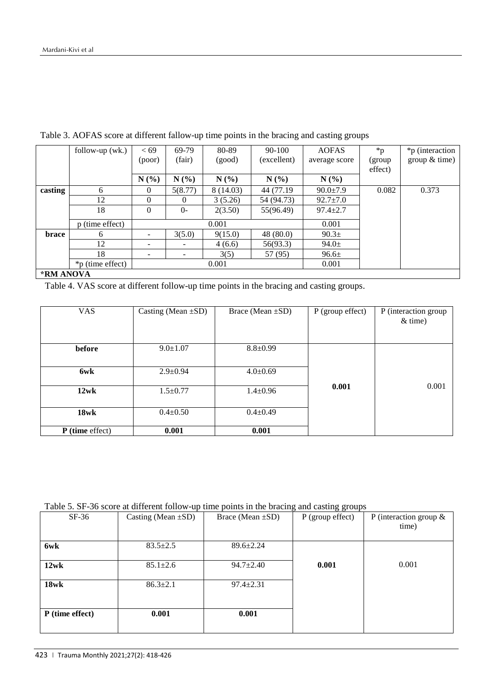|                  | follow-up $(wk.)$ | <69<br>(poor) | 69-79<br>(fair) | 80-89<br>(good) | 90-100<br>(excellent) | <b>AOFAS</b><br>average score | $*_{p}$<br>(group | *p (interaction<br>group $&$ time) |
|------------------|-------------------|---------------|-----------------|-----------------|-----------------------|-------------------------------|-------------------|------------------------------------|
|                  |                   |               |                 |                 |                       |                               | effect)           |                                    |
|                  |                   | N(%)          | N(%             | N(%)            | N(%)                  | N(%                           |                   |                                    |
| casting          | 6                 | $\Omega$      | 5(8.77)         | 8 (14.03)       | 44 (77.19)            | $90.0 \pm 7.9$                | 0.082             | 0.373                              |
|                  | 12                | $\Omega$      | $\Omega$        | 3(5.26)         | 54 (94.73)            | $92.7 \pm 7.0$                |                   |                                    |
|                  | 18                | $\theta$      | $O -$           | 2(3.50)         | 55(96.49)             | $97.4 \pm 2.7$                |                   |                                    |
|                  | p (time effect)   |               |                 | 0.001           |                       | 0.001                         |                   |                                    |
| brace            | 6                 | ۰.            | 3(5.0)          | 9(15.0)         | 48(80.0)              | 90.3 <sub>±</sub>             |                   |                                    |
|                  | 12                |               |                 | 4(6.6)          | 56(93.3)              | $94.0 \pm$                    |                   |                                    |
|                  | 18                |               |                 | 3(5)            | 57 (95)               | 96.6±                         |                   |                                    |
|                  | *p (time effect)  |               |                 | 0.001           |                       | 0.001                         |                   |                                    |
| <b>*RM ANOVA</b> |                   |               |                 |                 |                       |                               |                   |                                    |

Table 3. AOFAS score at different fallow-up time points in the bracing and casting groups

#### **\*RM ANOVA**

Table 4. VAS score at different follow-up time points in the bracing and casting groups.

| <b>VAS</b>        | Casting (Mean $\pm SD$ ) | Brace (Mean $\pm$ SD) | $P$ (group effect) | P (interaction group<br>$&$ time) |
|-------------------|--------------------------|-----------------------|--------------------|-----------------------------------|
|                   |                          |                       |                    |                                   |
| before            | $9.0 \pm 1.07$           | $8.8 \pm 0.99$        |                    |                                   |
| 6wk               | $2.9 \pm 0.94$           | $4.0 \pm 0.69$        |                    |                                   |
| 12wk              | $1.5 \pm 0.77$           | $1.4 \pm 0.96$        | 0.001              | 0.001                             |
| $18$ wk           | $0.4 \pm 0.50$           | $0.4 \pm 0.49$        |                    |                                   |
| $P$ (time effect) | 0.001                    | 0.001                 |                    |                                   |

| Table 5. SF-36 score at different follow-up time points in the bracing and casting groups |  |  |  |
|-------------------------------------------------------------------------------------------|--|--|--|
|                                                                                           |  |  |  |

| $SF-36$         | Casting (Mean $\pm SD$ ) | Brace (Mean $\pm$ SD) | $P$ (group effect) | P (interaction group $&$<br>time) |
|-----------------|--------------------------|-----------------------|--------------------|-----------------------------------|
| 6wk             | $83.5 \pm 2.5$           | $89.6 \pm 2.24$       |                    |                                   |
| 12wk            | $85.1 \pm 2.6$           | $94.7 \pm 2.40$       | 0.001              | 0.001                             |
| $18$ wk         | $86.3 \pm 2.1$           | $97.4 \pm 2.31$       |                    |                                   |
| P (time effect) | 0.001                    | 0.001                 |                    |                                   |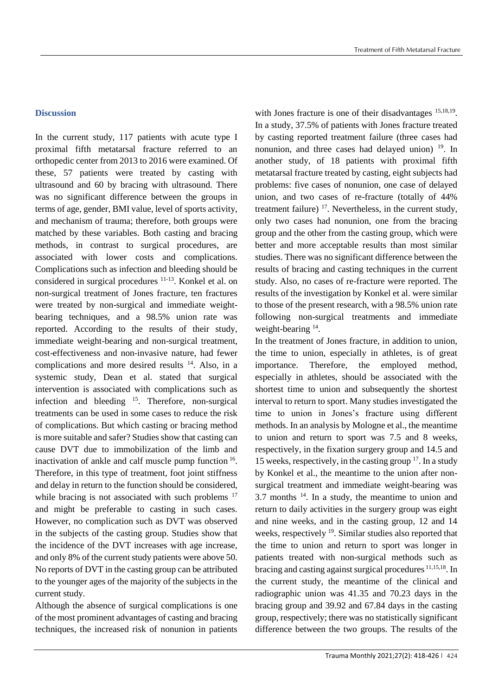## **Discussion**

In the current study, 117 patients with acute type I proximal fifth metatarsal fracture referred to an orthopedic center from 2013 to 2016 were examined. Of these, 57 patients were treated by casting with ultrasound and 60 by bracing with ultrasound. There was no significant difference between the groups in terms of age, gender, BMI value, level of sports activity, and mechanism of trauma; therefore, both groups were matched by these variables. Both casting and bracing methods, in contrast to surgical procedures, are associated with lower costs and complications. Complications such as infection and bleeding should be considered in surgical procedures 11-13. Konkel et al. on non-surgical treatment of Jones fracture, ten fractures were treated by non-surgical and immediate weightbearing techniques, and a 98.5% union rate was reported. According to the results of their study, immediate weight-bearing and non-surgical treatment, cost-effectiveness and non-invasive nature, had fewer complications and more desired results <sup>14</sup>. Also, in a systemic study, Dean et al. stated that surgical intervention is associated with complications such as infection and bleeding  $15$ . Therefore, non-surgical treatments can be used in some cases to reduce the risk of complications. But which casting or bracing method is more suitable and safer? Studies show that casting can cause DVT due to immobilization of the limb and inactivation of ankle and calf muscle pump function <sup>16</sup>. Therefore, in this type of treatment, foot joint stiffness and delay in return to the function should be considered, while bracing is not associated with such problems <sup>17</sup> and might be preferable to casting in such cases. However, no complication such as DVT was observed in the subjects of the casting group. Studies show that the incidence of the DVT increases with age increase, and only 8% of the current study patients were above 50. No reports of DVT in the casting group can be attributed to the younger ages of the majority of the subjects in the current study.

Although the absence of surgical complications is one of the most prominent advantages of casting and bracing techniques, the increased risk of nonunion in patients

with Jones fracture is one of their disadvantages <sup>15,18,19</sup>. In a study, 37.5% of patients with Jones fracture treated by casting reported treatment failure (three cases had nonunion, and three cases had delayed union) <sup>19</sup>. In another study, of 18 patients with proximal fifth metatarsal fracture treated by casting, eight subjects had problems: five cases of nonunion, one case of delayed union, and two cases of re-fracture (totally of 44% treatment failure)  $17$ . Nevertheless, in the current study, only two cases had nonunion, one from the bracing group and the other from the casting group, which were better and more acceptable results than most similar studies. There was no significant difference between the results of bracing and casting techniques in the current study. Also, no cases of re-fracture were reported. The results of the investigation by Konkel et al. were similar to those of the present research, with a 98.5% union rate following non-surgical treatments and immediate weight-bearing <sup>14</sup>.

In the treatment of Jones fracture, in addition to union, the time to union, especially in athletes, is of great importance. Therefore, the employed method, especially in athletes, should be associated with the shortest time to union and subsequently the shortest interval to return to sport. Many studies investigated the time to union in Jones's fracture using different methods. In an analysis by Mologne et al., the meantime to union and return to sport was 7.5 and 8 weeks, respectively, in the fixation surgery group and 14.5 and 15 weeks, respectively, in the casting group  $17$ . In a study by Konkel et al., the meantime to the union after nonsurgical treatment and immediate weight-bearing was 3.7 months  $14$ . In a study, the meantime to union and return to daily activities in the surgery group was eight and nine weeks, and in the casting group, 12 and 14 weeks, respectively <sup>19</sup>. Similar studies also reported that the time to union and return to sport was longer in patients treated with non-surgical methods such as bracing and casting against surgical procedures 11,15,18. In the current study, the meantime of the clinical and radiographic union was 41.35 and 70.23 days in the bracing group and 39.92 and 67.84 days in the casting group, respectively; there was no statistically significant difference between the two groups. The results of the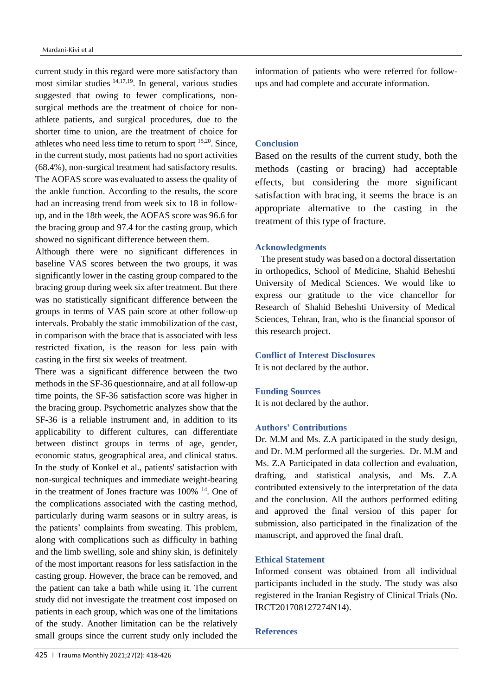current study in this regard were more satisfactory than most similar studies 14,17,19. In general, various studies suggested that owing to fewer complications, nonsurgical methods are the treatment of choice for nonathlete patients, and surgical procedures, due to the shorter time to union, are the treatment of choice for athletes who need less time to return to sport 15,20. Since, in the current study, most patients had no sport activities (68.4%), non-surgical treatment had satisfactory results. The AOFAS score was evaluated to assess the quality of the ankle function. According to the results, the score had an increasing trend from week six to 18 in followup, and in the 18th week, the AOFAS score was 96.6 for the bracing group and 97.4 for the casting group, which showed no significant difference between them.

Although there were no significant differences in baseline VAS scores between the two groups, it was significantly lower in the casting group compared to the bracing group during week six after treatment. But there was no statistically significant difference between the groups in terms of VAS pain score at other follow-up intervals. Probably the static immobilization of the cast, in comparison with the brace that is associated with less restricted fixation, is the reason for less pain with casting in the first six weeks of treatment.

There was a significant difference between the two methods in the SF-36 questionnaire, and at all follow-up time points, the SF-36 satisfaction score was higher in the bracing group. Psychometric analyzes show that the SF-36 is a reliable instrument and, in addition to its applicability to different cultures, can differentiate between distinct groups in terms of age, gender, economic status, geographical area, and clinical status. In the study of Konkel et al., patients' satisfaction with non-surgical techniques and immediate weight-bearing in the treatment of Jones fracture was 100% <sup>14</sup>. One of the complications associated with the casting method, particularly during warm seasons or in sultry areas, is the patients' complaints from sweating. This problem, along with complications such as difficulty in bathing and the limb swelling, sole and shiny skin, is definitely of the most important reasons for less satisfaction in the casting group. However, the brace can be removed, and the patient can take a bath while using it. The current study did not investigate the treatment cost imposed on patients in each group, which was one of the limitations of the study. Another limitation can be the relatively small groups since the current study only included the

information of patients who were referred for followups and had complete and accurate information.

#### **Conclusion**

Based on the results of the current study, both the methods (casting or bracing) had acceptable effects, but considering the more significant satisfaction with bracing, it seems the brace is an appropriate alternative to the casting in the treatment of this type of fracture.

#### **Acknowledgments**

The present study was based on a doctoral dissertation in orthopedics, School of Medicine, Shahid Beheshti University of Medical Sciences. We would like to express our gratitude to the vice chancellor for Research of Shahid Beheshti University of Medical Sciences, Tehran, Iran, who is the financial sponsor of this research project.

#### **Conflict of Interest Disclosures**

It is not declared by the author.

#### **Funding Sources**

It is not declared by the author.

#### **Authors' Contributions**

Dr. M.M and Ms. Z.A participated in the study design, and Dr. M.M performed all the surgeries. Dr. M.M and Ms. Z.A Participated in data collection and evaluation, drafting, and statistical analysis, and Ms. Z.A contributed extensively to the interpretation of the data and the conclusion. All the authors performed editing and approved the final version of this paper for submission, also participated in the finalization of the manuscript, and approved the final draft.

## **Ethical Statement**

Informed consent was obtained from all individual participants included in the study. The study was also registered in the Iranian Registry of Clinical Trials (No. IRCT201708127274N14).

#### **References**